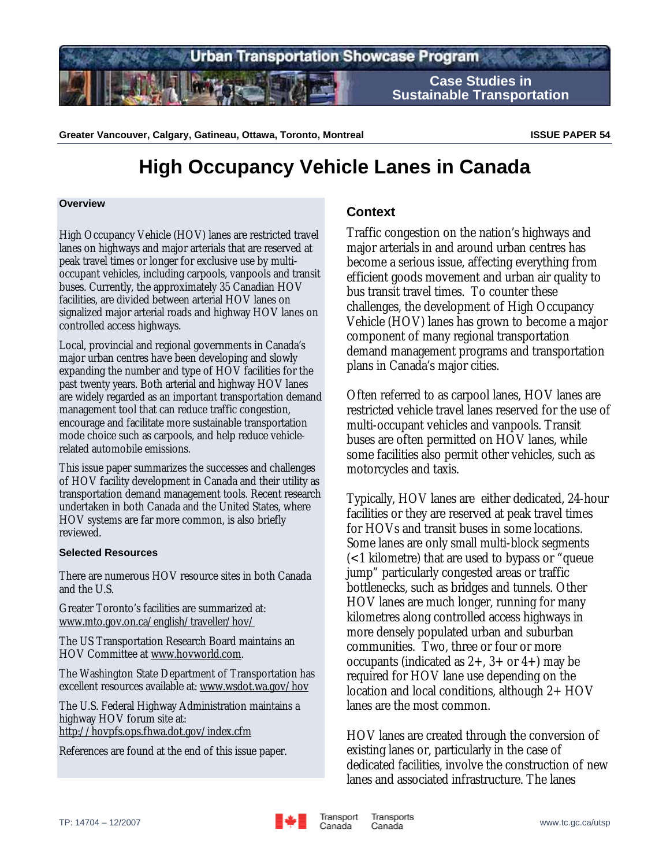

Greater Vancouver, Calgary, Gatineau, Ottawa, Toronto, Montreal **ISSUE PAPER 54 ISSUE PAPER 54** 

# **High Occupancy Vehicle Lanes in Canada**

#### **Overview**

High Occupancy Vehicle (HOV) lanes are restricted travel lanes on highways and major arterials that are reserved at peak travel times or longer for exclusive use by multioccupant vehicles, including carpools, vanpools and transit buses. Currently, the approximately 35 Canadian HOV facilities, are divided between arterial HOV lanes on signalized major arterial roads and highway HOV lanes on controlled access highways.

Local, provincial and regional governments in Canada's major urban centres have been developing and slowly expanding the number and type of HOV facilities for the past twenty years. Both arterial and highway HOV lanes are widely regarded as an important transportation demand management tool that can reduce traffic congestion, encourage and facilitate more sustainable transportation mode choice such as carpools, and help reduce vehiclerelated automobile emissions.

This issue paper summarizes the successes and challenges of HOV facility development in Canada and their utility as transportation demand management tools. Recent research undertaken in both Canada and the United States, where HOV systems are far more common, is also briefly reviewed.

#### **Selected Resources**

There are numerous HOV resource sites in both Canada and the U.S.

Greater Toronto's facilities are summarized at: www.mto.gov.on.ca/english/traveller/hov/

The US Transportation Research Board maintains an HOV Committee at www.hovworld.com.

The Washington State Department of Transportation has excellent resources available at: www.wsdot.wa.gov/hov

The U.S. Federal Highway Administration maintains a highway HOV forum site at: http://hovpfs.ops.fhwa.dot.gov/index.cfm

References are found at the end of this issue paper.

# **Context**

Traffic congestion on the nation's highways and major arterials in and around urban centres has become a serious issue, affecting everything from efficient goods movement and urban air quality to bus transit travel times. To counter these challenges, the development of High Occupancy Vehicle (HOV) lanes has grown to become a major component of many regional transportation demand management programs and transportation plans in Canada's major cities.

Often referred to as carpool lanes, HOV lanes are restricted vehicle travel lanes reserved for the use of multi-occupant vehicles and vanpools. Transit buses are often permitted on HOV lanes, while some facilities also permit other vehicles, such as motorcycles and taxis.

Typically, HOV lanes are either dedicated, 24-hour facilities or they are reserved at peak travel times for HOVs and transit buses in some locations. Some lanes are only small multi-block segments (<1 kilometre) that are used to bypass or "queue jump" particularly congested areas or traffic bottlenecks, such as bridges and tunnels. Other HOV lanes are much longer, running for many kilometres along controlled access highways in more densely populated urban and suburban communities. Two, three or four or more occupants (indicated as  $2+$ ,  $3+$  or  $4+$ ) may be required for HOV lane use depending on the location and local conditions, although 2+ HOV lanes are the most common.

HOV lanes are created through the conversion of existing lanes or, particularly in the case of dedicated facilities, involve the construction of new lanes and associated infrastructure. The lanes

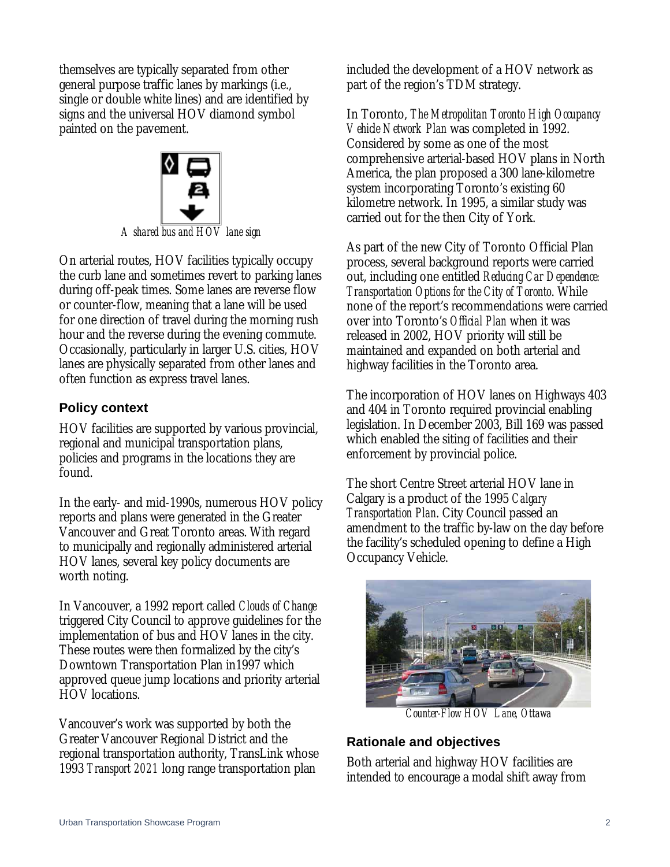themselves are typically separated from other general purpose traffic lanes by markings (i.e., single or double white lines) and are identified by signs and the universal HOV diamond symbol painted on the pavement.



On arterial routes, HOV facilities typically occupy the curb lane and sometimes revert to parking lanes during off-peak times. Some lanes are reverse flow or counter-flow, meaning that a lane will be used for one direction of travel during the morning rush hour and the reverse during the evening commute.

Occasionally, particularly in larger U.S. cities, HOV lanes are physically separated from other lanes and often function as express travel lanes.

# **Policy context**

HOV facilities are supported by various provincial, regional and municipal transportation plans, policies and programs in the locations they are found.

In the early- and mid-1990s, numerous HOV policy reports and plans were generated in the Greater Vancouver and Great Toronto areas. With regard to municipally and regionally administered arterial HOV lanes, several key policy documents are worth noting.

In Vancouver, a 1992 report called *Clouds of Change* triggered City Council to approve guidelines for the implementation of bus and HOV lanes in the city. These routes were then formalized by the city's Downtown Transportation Plan in1997 which approved queue jump locations and priority arterial HOV locations.

Vancouver's work was supported by both the Greater Vancouver Regional District and the regional transportation authority, TransLink whose 1993 *Transport 2021* long range transportation plan

included the development of a HOV network as part of the region's TDM strategy.

In Toronto, *The Metropolitan Toronto High Occupancy Vehicle Network Plan* was completed in 1992. Considered by some as one of the most comprehensive arterial-based HOV plans in North America, the plan proposed a 300 lane-kilometre system incorporating Toronto's existing 60 kilometre network. In 1995, a similar study was carried out for the then City of York.

As part of the new City of Toronto Official Plan process, several background reports were carried out, including one entitled *Reducing Car Dependence: Transportation Options for the City of Toronto*. While none of the report's recommendations were carried over into Toronto's *Official Plan* when it was released in 2002, HOV priority will still be maintained and expanded on both arterial and highway facilities in the Toronto area.

The incorporation of HOV lanes on Highways 403 and 404 in Toronto required provincial enabling legislation. In December 2003, Bill 169 was passed which enabled the siting of facilities and their enforcement by provincial police.

The short Centre Street arterial HOV lane in Calgary is a product of the 1995 *Calgary Transportation Plan*. City Council passed an amendment to the traffic by-law on the day before the facility's scheduled opening to define a High Occupancy Vehicle.



*Counter-Flow HOV Lane, Ottawa* 

# **Rationale and objectives**

Both arterial and highway HOV facilities are intended to encourage a modal shift away from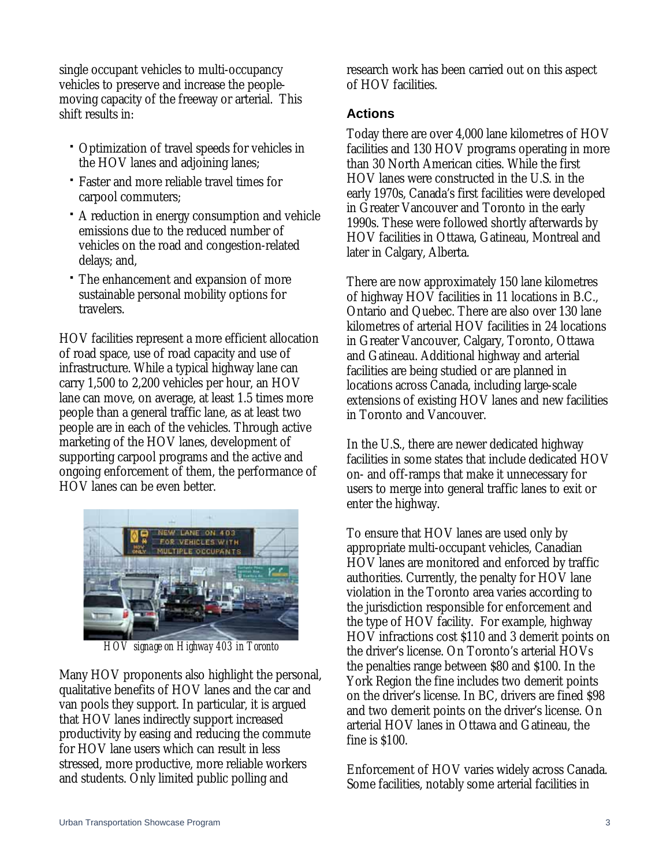single occupant vehicles to multi-occupancy vehicles to preserve and increase the peoplemoving capacity of the freeway or arterial. This shift results in:

- Optimization of travel speeds for vehicles in the HOV lanes and adjoining lanes;
- Faster and more reliable travel times for carpool commuters;
- A reduction in energy consumption and vehicle emissions due to the reduced number of vehicles on the road and congestion-related delays; and,
- The enhancement and expansion of more sustainable personal mobility options for travelers.

HOV facilities represent a more efficient allocation of road space, use of road capacity and use of infrastructure. While a typical highway lane can carry 1,500 to 2,200 vehicles per hour, an HOV lane can move, on average, at least 1.5 times more people than a general traffic lane, as at least two people are in each of the vehicles. Through active marketing of the HOV lanes, development of supporting carpool programs and the active and ongoing enforcement of them, the performance of HOV lanes can be even better.



*HOV signage on Highway 403 in Toronto* 

Many HOV proponents also highlight the personal, qualitative benefits of HOV lanes and the car and van pools they support. In particular, it is argued that HOV lanes indirectly support increased productivity by easing and reducing the commute for HOV lane users which can result in less stressed, more productive, more reliable workers and students. Only limited public polling and

research work has been carried out on this aspect of HOV facilities.

## **Actions**

Today there are over 4,000 lane kilometres of HOV facilities and 130 HOV programs operating in more than 30 North American cities. While the first HOV lanes were constructed in the U.S. in the early 1970s, Canada's first facilities were developed in Greater Vancouver and Toronto in the early 1990s. These were followed shortly afterwards by HOV facilities in Ottawa, Gatineau, Montreal and later in Calgary, Alberta.

There are now approximately 150 lane kilometres of highway HOV facilities in 11 locations in B.C., Ontario and Quebec. There are also over 130 lane kilometres of arterial HOV facilities in 24 locations in Greater Vancouver, Calgary, Toronto, Ottawa and Gatineau. Additional highway and arterial facilities are being studied or are planned in locations across Canada, including large-scale extensions of existing HOV lanes and new facilities in Toronto and Vancouver.

In the U.S., there are newer dedicated highway facilities in some states that include dedicated HOV on- and off-ramps that make it unnecessary for users to merge into general traffic lanes to exit or enter the highway.

To ensure that HOV lanes are used only by appropriate multi-occupant vehicles, Canadian HOV lanes are monitored and enforced by traffic authorities. Currently, the penalty for HOV lane violation in the Toronto area varies according to the jurisdiction responsible for enforcement and the type of HOV facility. For example, highway HOV infractions cost \$110 and 3 demerit points on the driver's license. On Toronto's arterial HOVs the penalties range between \$80 and \$100. In the York Region the fine includes two demerit points on the driver's license. In BC, drivers are fined \$98 and two demerit points on the driver's license. On arterial HOV lanes in Ottawa and Gatineau, the fine is \$100.

Enforcement of HOV varies widely across Canada. Some facilities, notably some arterial facilities in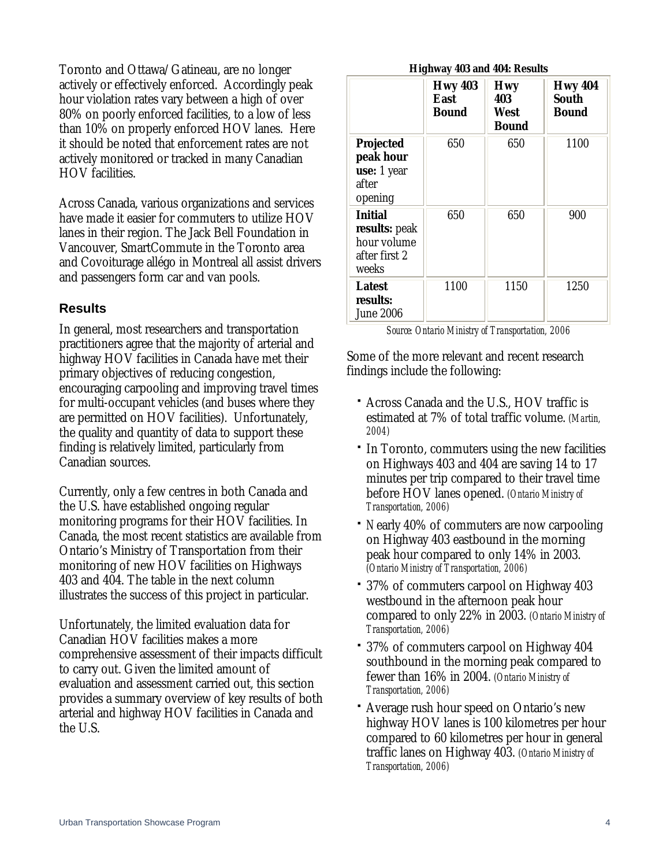Toronto and Ottawa/Gatineau, are no longer actively or effectively enforced. Accordingly peak hour violation rates vary between a high of over 80% on poorly enforced facilities, to a low of less than 10% on properly enforced HOV lanes. Here it should be noted that enforcement rates are not actively monitored or tracked in many Canadian HOV facilities.

Across Canada, various organizations and services have made it easier for commuters to utilize HOV lanes in their region. The Jack Bell Foundation in Vancouver, SmartCommute in the Toronto area and Covoiturage allégo in Montreal all assist drivers and passengers form car and van pools.

#### **Results**

In general, most researchers and transportation practitioners agree that the majority of arterial and highway HOV facilities in Canada have met their primary objectives of reducing congestion, encouraging carpooling and improving travel times for multi-occupant vehicles (and buses where they are permitted on HOV facilities). Unfortunately, the quality and quantity of data to support these finding is relatively limited, particularly from Canadian sources.

Currently, only a few centres in both Canada and the U.S. have established ongoing regular monitoring programs for their HOV facilities. In Canada, the most recent statistics are available from Ontario's Ministry of Transportation from their monitoring of new HOV facilities on Highways 403 and 404. The table in the next column illustrates the success of this project in particular.

Unfortunately, the limited evaluation data for Canadian HOV facilities makes a more comprehensive assessment of their impacts difficult to carry out. Given the limited amount of evaluation and assessment carried out, this section provides a summary overview of key results of both arterial and highway HOV facilities in Canada and the U.S.

#### **Highway 403 and 404: Results**

|                                                                          | <b>Hwy 403</b><br>East<br><b>Bound</b> | <b>Hwy</b><br>403<br>West<br>Bound | <b>Hwy 404</b><br><b>South</b><br>Bound |
|--------------------------------------------------------------------------|----------------------------------------|------------------------------------|-----------------------------------------|
| <b>Projected</b><br>peak hour<br>use: 1 year<br>after<br>opening         | 650                                    | 650                                | 1100                                    |
| <b>Initial</b><br>results: peak<br>hour volume<br>after first 2<br>weeks | 650                                    | 650                                | 900                                     |
| <b>Latest</b><br>results:<br><b>June 2006</b>                            | 1100                                   | 1150                               | 1250                                    |

*Source: Ontario Ministry of Transportation, 2006* 

Some of the more relevant and recent research findings include the following:

- Across Canada and the U.S., HOV traffic is estimated at 7% of total traffic volume. *(Martin, 2004)*
- In Toronto, commuters using the new facilities on Highways 403 and 404 are saving 14 to 17 minutes per trip compared to their travel time before HOV lanes opened. *(Ontario Ministry of Transportation, 2006)*
- *N*early 40% of commuters are now carpooling on Highway 403 eastbound in the morning peak hour compared to only 14% in 2003. *(Ontario Ministry of Transportation, 2006)*
- 37% of commuters carpool on Highway 403 westbound in the afternoon peak hour compared to only 22% in 2003. *(Ontario Ministry of Transportation, 2006)*
- 37% of commuters carpool on Highway 404 southbound in the morning peak compared to fewer than 16% in 2004. *(Ontario Ministry of Transportation, 2006)*
- Average rush hour speed on Ontario's new highway HOV lanes is 100 kilometres per hour compared to 60 kilometres per hour in general traffic lanes on Highway 403. *(Ontario Ministry of Transportation, 2006)*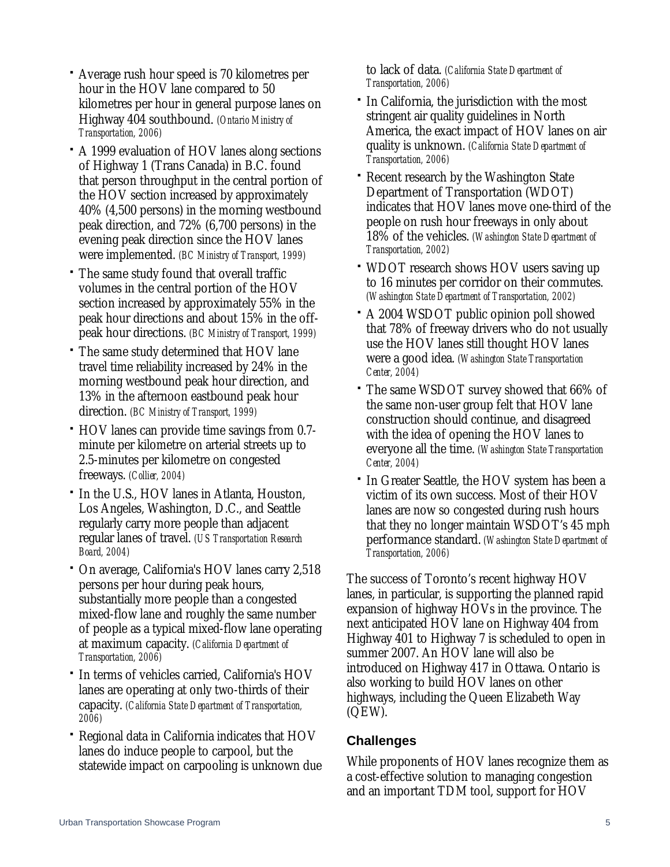- Average rush hour speed is 70 kilometres per hour in the HOV lane compared to 50 kilometres per hour in general purpose lanes on Highway 404 southbound. *(Ontario Ministry of Transportation, 2006)*
- A 1999 evaluation of HOV lanes along sections of Highway 1 (Trans Canada) in B.C. found that person throughput in the central portion of the HOV section increased by approximately 40% (4,500 persons) in the morning westbound peak direction, and 72% (6,700 persons) in the evening peak direction since the HOV lanes were implemented. *(BC Ministry of Transport, 1999)*
- The same study found that overall traffic volumes in the central portion of the HOV section increased by approximately 55% in the peak hour directions and about 15% in the offpeak hour directions. *(BC Ministry of Transport, 1999)*
- The same study determined that HOV lane travel time reliability increased by 24% in the morning westbound peak hour direction, and 13% in the afternoon eastbound peak hour direction. *(BC Ministry of Transport, 1999)*
- HOV lanes can provide time savings from 0.7 minute per kilometre on arterial streets up to 2.5-minutes per kilometre on congested freeways. *(Collier, 2004)*
- In the U.S., HOV lanes in Atlanta, Houston, Los Angeles, Washington, D.C., and Seattle regularly carry more people than adjacent regular lanes of travel. *(US Transportation Research Board, 2004)*
- On average, California's HOV lanes carry 2,518 persons per hour during peak hours, substantially more people than a congested mixed-flow lane and roughly the same number of people as a typical mixed-flow lane operating at maximum capacity. *(California Department of Transportation, 2006)*
- In terms of vehicles carried, California's HOV lanes are operating at only two-thirds of their capacity. *(California State Department of Transportation, 2006)*
- Regional data in California indicates that HOV lanes do induce people to carpool, but the statewide impact on carpooling is unknown due

to lack of data. *(California State Department of Transportation, 2006)*

- In California, the jurisdiction with the most stringent air quality guidelines in North America, the exact impact of HOV lanes on air quality is unknown. *(California State Department of Transportation, 2006)*
- Recent research by the Washington State Department of Transportation (WDOT) indicates that HOV lanes move one-third of the people on rush hour freeways in only about 18% of the vehicles. *(Washington State Department of Transportation, 2002)*
- WDOT research shows HOV users saving up to 16 minutes per corridor on their commutes. *(Washington State Department of Transportation, 2002)*
- A 2004 WSDOT public opinion poll showed that 78% of freeway drivers who do not usually use the HOV lanes still thought HOV lanes were a good idea. *(Washington State Transportation Center, 2004)*
- The same WSDOT survey showed that 66% of the same non-user group felt that HOV lane construction should continue, and disagreed with the idea of opening the HOV lanes to everyone all the time. *(Washington State Transportation Center, 2004)*
- In Greater Seattle, the HOV system has been a victim of its own success. Most of their HOV lanes are now so congested during rush hours that they no longer maintain WSDOT's 45 mph performance standard. *(Washington State Department of Transportation, 2006)*

The success of Toronto's recent highway HOV lanes, in particular, is supporting the planned rapid expansion of highway HOVs in the province. The next anticipated HOV lane on Highway 404 from Highway 401 to Highway 7 is scheduled to open in summer 2007. An HOV lane will also be introduced on Highway 417 in Ottawa. Ontario is also working to build HOV lanes on other highways, including the Queen Elizabeth Way (QEW).

# **Challenges**

While proponents of HOV lanes recognize them as a cost-effective solution to managing congestion and an important TDM tool, support for HOV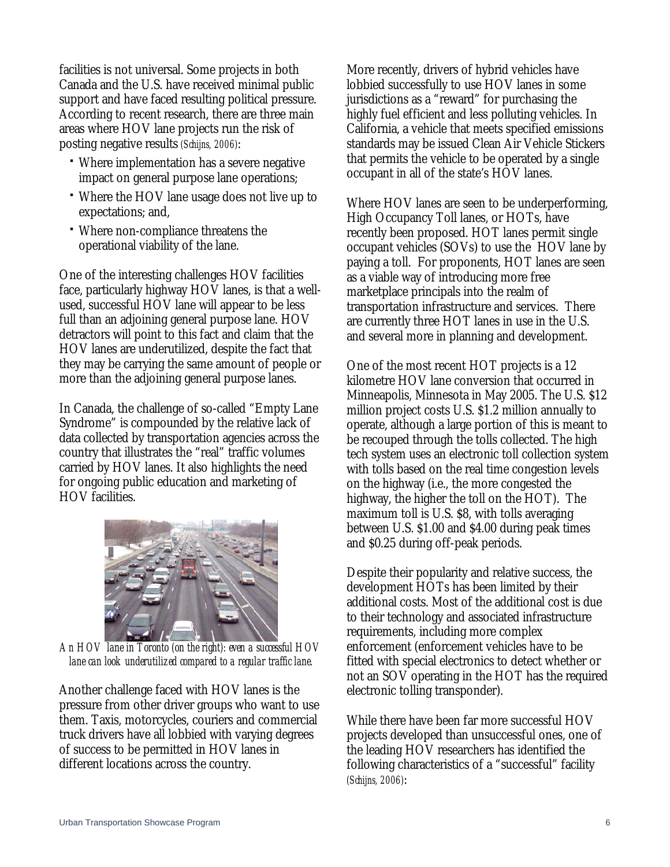facilities is not universal. Some projects in both Canada and the U.S. have received minimal public support and have faced resulting political pressure. According to recent research, there are three main areas where HOV lane projects run the risk of posting negative results *(Schijns, 2006)*:

- Where implementation has a severe negative impact on general purpose lane operations;
- Where the HOV lane usage does not live up to expectations; and,
- Where non-compliance threatens the operational viability of the lane.

One of the interesting challenges HOV facilities face, particularly highway HOV lanes, is that a wellused, successful HOV lane will appear to be less full than an adjoining general purpose lane. HOV detractors will point to this fact and claim that the HOV lanes are underutilized, despite the fact that they may be carrying the same amount of people or more than the adjoining general purpose lanes.

In Canada, the challenge of so-called "Empty Lane Syndrome" is compounded by the relative lack of data collected by transportation agencies across the country that illustrates the "real" traffic volumes carried by HOV lanes. It also highlights the need for ongoing public education and marketing of HOV facilities.



*An HOV lane in Toronto (on the right): even a successful HOV lane can look underutilized compared to a regular traffic lane.* 

Another challenge faced with HOV lanes is the pressure from other driver groups who want to use them. Taxis, motorcycles, couriers and commercial truck drivers have all lobbied with varying degrees of success to be permitted in HOV lanes in different locations across the country.

More recently, drivers of hybrid vehicles have lobbied successfully to use HOV lanes in some jurisdictions as a "reward" for purchasing the highly fuel efficient and less polluting vehicles. In California, a vehicle that meets specified emissions standards may be issued Clean Air Vehicle Stickers that permits the vehicle to be operated by a single occupant in all of the state's HOV lanes.

Where HOV lanes are seen to be underperforming, High Occupancy Toll lanes, or HOTs, have recently been proposed. HOT lanes permit single occupant vehicles (SOVs) to use the HOV lane by paying a toll. For proponents, HOT lanes are seen as a viable way of introducing more free marketplace principals into the realm of transportation infrastructure and services. There are currently three HOT lanes in use in the U.S. and several more in planning and development.

One of the most recent HOT projects is a 12 kilometre HOV lane conversion that occurred in Minneapolis, Minnesota in May 2005. The U.S. \$12 million project costs U.S. \$1.2 million annually to operate, although a large portion of this is meant to be recouped through the tolls collected. The high tech system uses an electronic toll collection system with tolls based on the real time congestion levels on the highway (i.e., the more congested the highway, the higher the toll on the HOT). The maximum toll is U.S. \$8, with tolls averaging between U.S. \$1.00 and \$4.00 during peak times and \$0.25 during off-peak periods.

Despite their popularity and relative success, the development HOTs has been limited by their additional costs. Most of the additional cost is due to their technology and associated infrastructure requirements, including more complex enforcement (enforcement vehicles have to be fitted with special electronics to detect whether or not an SOV operating in the HOT has the required electronic tolling transponder).

While there have been far more successful HOV projects developed than unsuccessful ones, one of the leading HOV researchers has identified the following characteristics of a "successful" facility *(Schijns, 2006)*: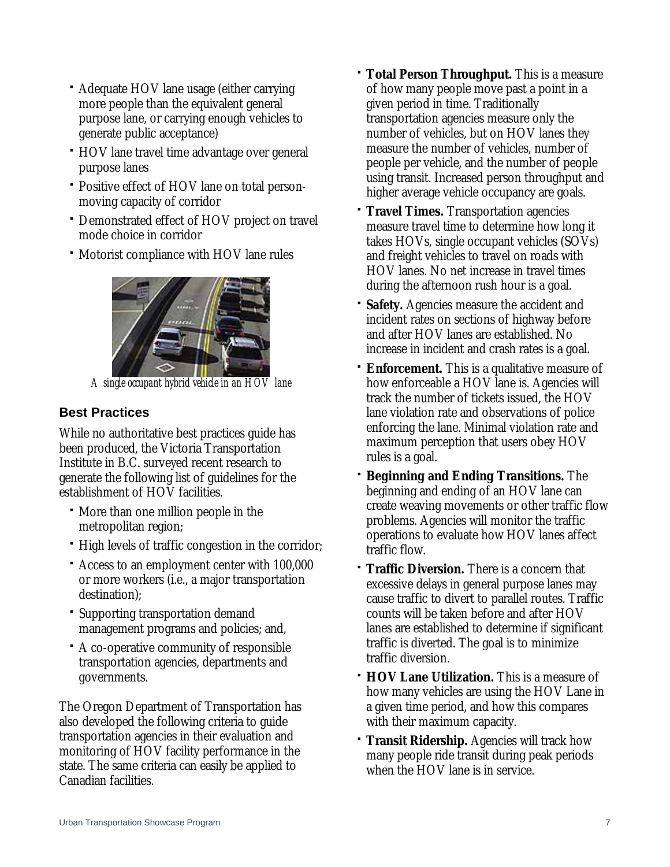- Adequate HOV lane usage (either carrying more people than the equivalent general purpose lane, or carrying enough vehicles to generate public acceptance)
- HOV lane travel time advantage over general purpose lanes
- Positive effect of HOV lane on total personmoving capacity of corridor
- Demonstrated effect of HOV project on travel mode choice in corridor
- Motorist compliance with HOV lane rules



*A single occupant hybrid vehicle in an HOV lane* 

# **Best Practices**

While no authoritative best practices guide has been produced, the Victoria Transportation Institute in B.C. surveyed recent research to generate the following list of guidelines for the establishment of HOV facilities.

- More than one million people in the metropolitan region;
- High levels of traffic congestion in the corridor;
- Access to an employment center with 100,000 or more workers (i.e., a major transportation destination);
- Supporting transportation demand management programs and policies; and,
- A co-operative community of responsible transportation agencies, departments and governments.

The Oregon Department of Transportation has also developed the following criteria to guide transportation agencies in their evaluation and monitoring of HOV facility performance in the state. The same criteria can easily be applied to Canadian facilities.

- **Total Person Throughput.** This is a measure of how many people move past a point in a given period in time. Traditionally transportation agencies measure only the number of vehicles, but on HOV lanes they measure the number of vehicles, number of people per vehicle, and the number of people using transit. Increased person throughput and higher average vehicle occupancy are goals.
- **Travel Times.** Transportation agencies measure travel time to determine how long it takes HOVs, single occupant vehicles (SOVs) and freight vehicles to travel on roads with HOV lanes. No net increase in travel times during the afternoon rush hour is a goal.
- **Safety.** Agencies measure the accident and incident rates on sections of highway before and after HOV lanes are established. No increase in incident and crash rates is a goal.
- **Enforcement.** This is a qualitative measure of how enforceable a HOV lane is. Agencies will track the number of tickets issued, the HOV lane violation rate and observations of police enforcing the lane. Minimal violation rate and maximum perception that users obey HOV rules is a goal.
- **Beginning and Ending Transitions.** The beginning and ending of an HOV lane can create weaving movements or other traffic flow problems. Agencies will monitor the traffic operations to evaluate how HOV lanes affect traffic flow.
- **Traffic Diversion.** There is a concern that excessive delays in general purpose lanes may cause traffic to divert to parallel routes. Traffic counts will be taken before and after HOV lanes are established to determine if significant traffic is diverted. The goal is to minimize traffic diversion.
- **HOV Lane Utilization.** This is a measure of how many vehicles are using the HOV Lane in a given time period, and how this compares with their maximum capacity.
- **Transit Ridership.** Agencies will track how many people ride transit during peak periods when the HOV lane is in service.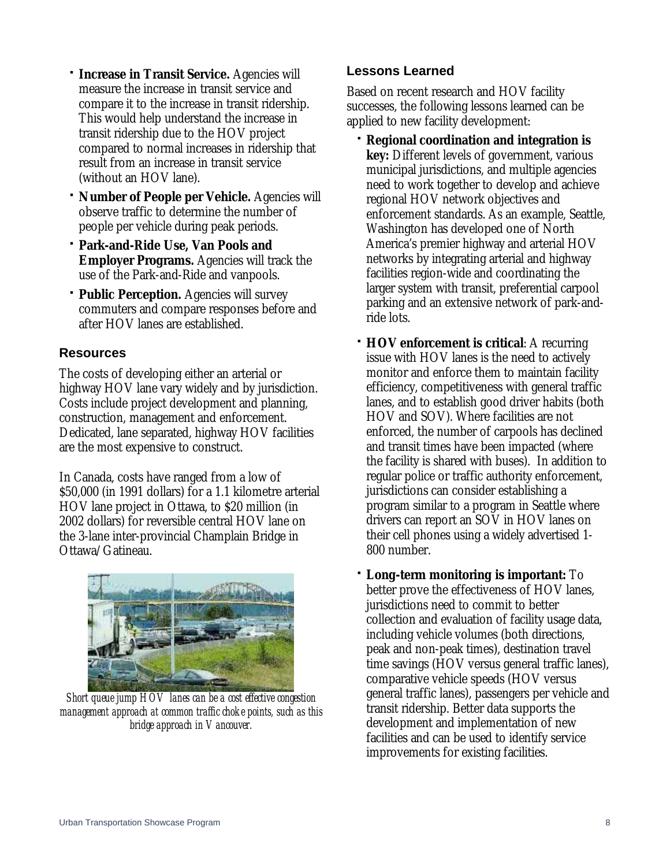- **Increase in Transit Service.** Agencies will measure the increase in transit service and compare it to the increase in transit ridership. This would help understand the increase in transit ridership due to the HOV project compared to normal increases in ridership that result from an increase in transit service (without an HOV lane).
- **Number of People per Vehicle.** Agencies will observe traffic to determine the number of people per vehicle during peak periods.
- **Park-and-Ride Use, Van Pools and Employer Programs.** Agencies will track the use of the Park-and-Ride and vanpools.
- **Public Perception.** Agencies will survey commuters and compare responses before and after HOV lanes are established.

### **Resources**

The costs of developing either an arterial or highway HOV lane vary widely and by jurisdiction. Costs include project development and planning, construction, management and enforcement. Dedicated, lane separated, highway HOV facilities are the most expensive to construct.

In Canada, costs have ranged from a low of \$50,000 (in 1991 dollars) for a 1.1 kilometre arterial HOV lane project in Ottawa, to \$20 million (in 2002 dollars) for reversible central HOV lane on the 3-lane inter-provincial Champlain Bridge in Ottawa/Gatineau.



*Short queue jump HOV lanes can be a cost effective congestion management approach at common traffic choke points, such as this bridge approach in Vancouver.* 

# **Lessons Learned**

Based on recent research and HOV facility successes, the following lessons learned can be applied to new facility development:

- **Regional coordination and integration is key:** Different levels of government, various municipal jurisdictions, and multiple agencies need to work together to develop and achieve regional HOV network objectives and enforcement standards. As an example, Seattle, Washington has developed one of North America's premier highway and arterial HOV networks by integrating arterial and highway facilities region-wide and coordinating the larger system with transit, preferential carpool parking and an extensive network of park-andride lots.
- **HOV enforcement is critical:** A recurring issue with HOV lanes is the need to actively monitor and enforce them to maintain facility efficiency, competitiveness with general traffic lanes, and to establish good driver habits (both HOV and SOV). Where facilities are not enforced, the number of carpools has declined and transit times have been impacted (where the facility is shared with buses). In addition to regular police or traffic authority enforcement, jurisdictions can consider establishing a program similar to a program in Seattle where drivers can report an SOV in HOV lanes on their cell phones using a widely advertised 1- 800 number.
- **Long-term monitoring is important:** To better prove the effectiveness of HOV lanes, jurisdictions need to commit to better collection and evaluation of facility usage data, including vehicle volumes (both directions, peak and non-peak times), destination travel time savings (HOV versus general traffic lanes), comparative vehicle speeds (HOV versus general traffic lanes), passengers per vehicle and transit ridership. Better data supports the development and implementation of new facilities and can be used to identify service improvements for existing facilities.